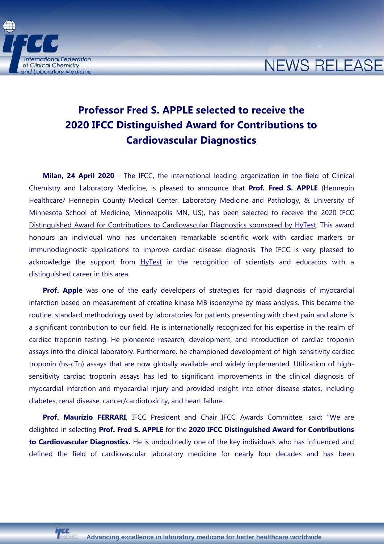**International Federation** of Clinical Chemistry and Laboratory Medicine

## **NEWS RELEASE**

## **Professor Fred S. APPLE selected to receive the 2020 IFCC Distinguished Award for Contributions to Cardiovascular Diagnostics**

**Milan, 24 April 2020** - The IFCC, the international leading organization in the field of Clinical Chemistry and Laboratory Medicine, is pleased to announce that **Prof. Fred S. APPLE** (Hennepin Healthcare/ Hennepin County Medical Center, Laboratory Medicine and Pathology, & University of Minnesota School of Medicine, Minneapolis MN, US), has been selected to receive the 2020 IFCC Distinguished Award for Contributions to Cardiovascular Diagnostics sponsored by [HyTest.](http://www.hytest.fi/) This award honours an individual who has undertaken remarkable scientific work with cardiac markers or immunodiagnostic applications to improve cardiac disease diagnosis. The IFCC is very pleased to acknowledge the support from **[HyTest](http://www.hytest.fi/)** in the recognition of scientists and educators with a distinguished career in this area.

**Prof. Apple** was one of the early developers of strategies for rapid diagnosis of myocardial infarction based on measurement of creatine kinase MB isoenzyme by mass analysis. This became the routine, standard methodology used by laboratories for patients presenting with chest pain and alone is a significant contribution to our field. He is internationally recognized for his expertise in the realm of cardiac troponin testing. He pioneered research, development, and introduction of cardiac troponin assays into the clinical laboratory. Furthermore, he championed development of high-sensitivity cardiac troponin (hs-cTn) assays that are now globally available and widely implemented. Utilization of highsensitivity cardiac troponin assays has led to significant improvements in the clinical diagnosis of myocardial infarction and myocardial injury and provided insight into other disease states, including diabetes, renal disease, cancer/cardiotoxicity, and heart failure.

**Prof. Maurizio FERRARI**, IFCC President and Chair IFCC Awards Committee, said: "We are delighted in selecting **Prof. Fred S. APPLE** for the **2020 IFCC Distinguished Award for Contributions to Cardiovascular Diagnostics.** He is undoubtedly one of the key individuals who has influenced and defined the field of cardiovascular laboratory medicine for nearly four decades and has been